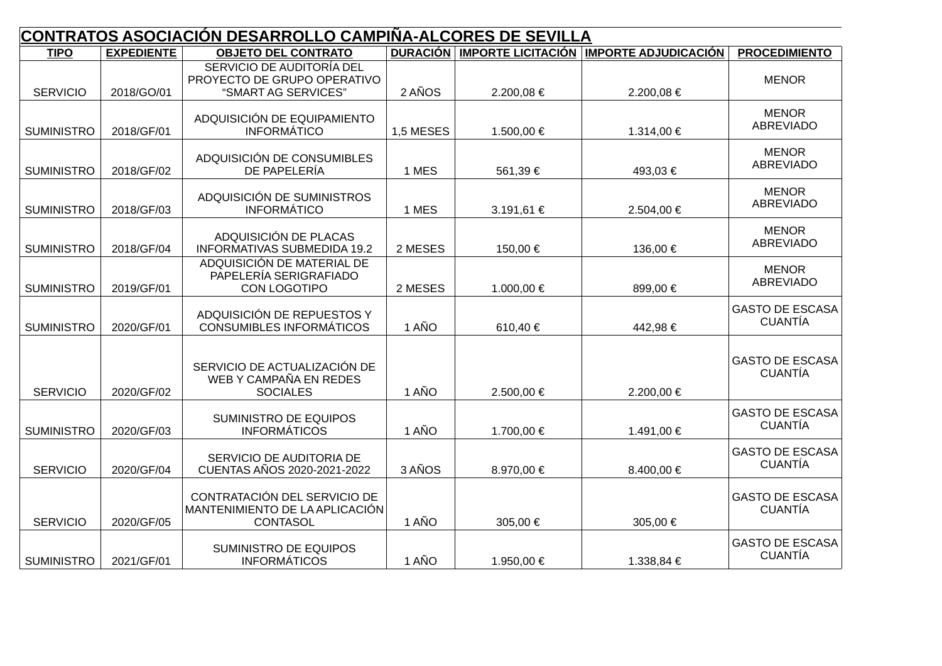| CONTRATOS ASOCIACIÓN DESARROLLO CAMPIÑA-ALCORES DE SEVILLA |                   |                                                                                 |           |                                      |                             |                                          |
|------------------------------------------------------------|-------------------|---------------------------------------------------------------------------------|-----------|--------------------------------------|-----------------------------|------------------------------------------|
| <b>TIPO</b>                                                | <b>EXPEDIENTE</b> | <b>OBJETO DEL CONTRATO</b>                                                      |           | <b>DURACIÓN   IMPORTE LICITACIÓN</b> | <b>IMPORTE ADJUDICACIÓN</b> | <b>PROCEDIMIENTO</b>                     |
| <b>SERVICIO</b>                                            | 2018/GO/01        | SERVICIO DE AUDITORÍA DEL<br>PROYECTO DE GRUPO OPERATIVO<br>"SMART AG SERVICES" | 2 AÑOS    | 2.200,08€                            | 2.200,08€                   | <b>MENOR</b>                             |
| <b>SUMINISTRO</b>                                          | 2018/GF/01        | ADQUISICIÓN DE EQUIPAMIENTO<br><b>INFORMÁTICO</b>                               | 1,5 MESES | 1.500,00€                            | 1.314,00 €                  | <b>MENOR</b><br><b>ABREVIADO</b>         |
| <b>SUMINISTRO</b>                                          | 2018/GF/02        | ADQUISICIÓN DE CONSUMIBLES<br>DE PAPELERÍA                                      | 1 MES     | 561,39€                              | 493,03€                     | <b>MENOR</b><br><b>ABREVIADO</b>         |
| <b>SUMINISTRO</b>                                          | 2018/GF/03        | ADQUISICIÓN DE SUMINISTROS<br><b>INFORMÁTICO</b>                                | 1 MES     | 3.191,61€                            | 2.504,00 €                  | <b>MENOR</b><br><b>ABREVIADO</b>         |
| <b>SUMINISTRO</b>                                          | 2018/GF/04        | ADQUISICIÓN DE PLACAS<br><b>INFORMATIVAS SUBMEDIDA 19.2</b>                     | 2 MESES   | 150,00€                              | 136,00€                     | <b>MENOR</b><br><b>ABREVIADO</b>         |
| <b>SUMINISTRO</b>                                          | 2019/GF/01        | ADQUISICIÓN DE MATERIAL DE<br>PAPELERÍA SERIGRAFIADO<br>CON LOGOTIPO            | 2 MESES   | 1.000,00€                            | 899,00€                     | <b>MENOR</b><br><b>ABREVIADO</b>         |
| <b>SUMINISTRO</b>                                          | 2020/GF/01        | ADQUISICIÓN DE REPUESTOS Y<br><b>CONSUMIBLES INFORMÁTICOS</b>                   | 1 AÑO     | 610,40€                              | 442,98€                     | <b>GASTO DE ESCASA</b><br><b>CUANTÍA</b> |
| <b>SERVICIO</b>                                            | 2020/GF/02        | SERVICIO DE ACTUALIZACIÓN DE<br>WEB Y CAMPAÑA EN REDES<br><b>SOCIALES</b>       | 1 AÑO     | 2.500,00 €                           | 2.200,00€                   | <b>GASTO DE ESCASA</b><br><b>CUANTÍA</b> |
| <b>SUMINISTRO</b>                                          | 2020/GF/03        | SUMINISTRO DE EQUIPOS<br><b>INFORMÁTICOS</b>                                    | 1 AÑO     | 1.700,00€                            | 1.491,00€                   | <b>GASTO DE ESCASA</b><br><b>CUANTÍA</b> |
| <b>SERVICIO</b>                                            | 2020/GF/04        | SERVICIO DE AUDITORIA DE<br>CUENTAS AÑOS 2020-2021-2022                         | 3 AÑOS    | 8.970,00 €                           | 8.400,00 €                  | <b>GASTO DE ESCASA</b><br><b>CUANTÍA</b> |
| <b>SERVICIO</b>                                            | 2020/GF/05        | CONTRATACIÓN DEL SERVICIO DE<br>MANTENIMIENTO DE LA APLICACIÓN<br>CONTASOL      | 1 AÑO     | 305,00€                              | 305,00€                     | <b>GASTO DE ESCASA</b><br><b>CUANTÍA</b> |
| <b>SUMINISTRO</b>                                          | 2021/GF/01        | SUMINISTRO DE EQUIPOS<br><b>INFORMÁTICOS</b>                                    | 1 AÑO     | 1.950,00€                            | 1.338,84€                   | <b>GASTO DE ESCASA</b><br><b>CUANTÍA</b> |

۰.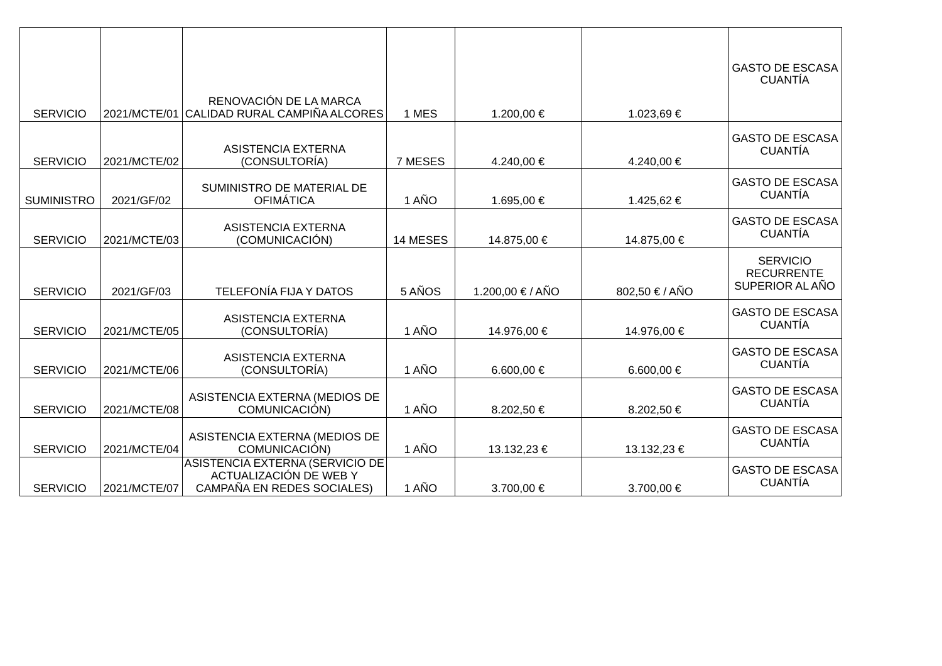| <b>SERVICIO</b>   |              | RENOVACIÓN DE LA MARCA<br>2021/MCTE/01 CALIDAD RURAL CAMPIÑA ALCORES                    | 1 MES    | 1.200,00€        | 1.023,69€      | <b>GASTO DE ESCASA</b><br><b>CUANTÍA</b>                |
|-------------------|--------------|-----------------------------------------------------------------------------------------|----------|------------------|----------------|---------------------------------------------------------|
|                   |              |                                                                                         |          |                  |                |                                                         |
| <b>SERVICIO</b>   | 2021/MCTE/02 | <b>ASISTENCIA EXTERNA</b><br>(CONSULTORÍA)                                              | 7 MESES  | 4.240,00 €       | 4.240,00€      | <b>GASTO DE ESCASA</b><br><b>CUANTÍA</b>                |
| <b>SUMINISTRO</b> | 2021/GF/02   | SUMINISTRO DE MATERIAL DE<br><b>OFIMÁTICA</b>                                           | 1 AÑO    | 1.695,00€        | 1.425,62€      | <b>GASTO DE ESCASA</b><br><b>CUANTÍA</b>                |
| <b>SERVICIO</b>   | 2021/MCTE/03 | <b>ASISTENCIA EXTERNA</b><br>(COMUNICACIÓN)                                             | 14 MESES | 14.875,00 €      | 14.875,00 €    | <b>GASTO DE ESCASA</b><br><b>CUANTÍA</b>                |
| <b>SERVICIO</b>   | 2021/GF/03   | <b>TELEFONÍA FIJA Y DATOS</b>                                                           | 5 AÑOS   | 1.200,00 € / AÑO | 802,50 € / AÑO | <b>SERVICIO</b><br><b>RECURRENTE</b><br>SUPERIOR AL AÑO |
| <b>SERVICIO</b>   | 2021/MCTE/05 | <b>ASISTENCIA EXTERNA</b><br>(CONSULTORÍA)                                              | 1 AÑO    | 14.976,00 €      | 14.976,00 €    | <b>GASTO DE ESCASA</b><br><b>CUANTÍA</b>                |
| <b>SERVICIO</b>   | 2021/MCTE/06 | <b>ASISTENCIA EXTERNA</b><br>(CONSULTORÍA)                                              | 1 AÑO    | $6.600,00 \in$   | 6.600,00 €     | <b>GASTO DE ESCASA</b><br><b>CUANTÍA</b>                |
| <b>SERVICIO</b>   | 2021/MCTE/08 | ASISTENCIA EXTERNA (MEDIOS DE<br>COMUNICACIÓN)                                          | 1 AÑO    | 8.202,50€        | 8.202,50€      | <b>GASTO DE ESCASA</b><br><b>CUANTÍA</b>                |
| <b>SERVICIO</b>   | 2021/MCTE/04 | ASISTENCIA EXTERNA (MEDIOS DE<br>COMUNICACIÓN)                                          | 1 AÑO    | 13.132,23€       | 13.132,23€     | <b>GASTO DE ESCASA</b><br><b>CUANTÍA</b>                |
| <b>SERVICIO</b>   | 2021/MCTE/07 | ASISTENCIA EXTERNA (SERVICIO DE<br>ACTUALIZACIÓN DE WEB Y<br>CAMPAÑA EN REDES SOCIALES) | 1 AÑO    | 3.700,00 €       | 3.700,00 €     | <b>GASTO DE ESCASA</b><br><b>CUANTÍA</b>                |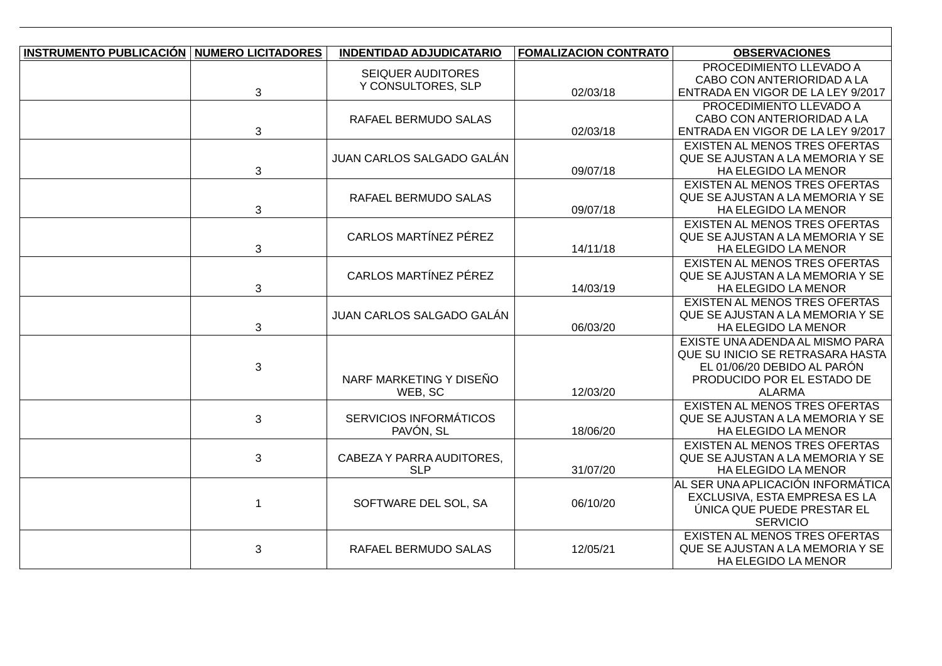| INSTRUMENTO PUBLICACIÓN   NUMERO LICITADORES |              | <b>INDENTIDAD ADJUDICATARIO</b>            | <b>FOMALIZACION CONTRATO</b> | <b>OBSERVACIONES</b>                                                                                                                              |
|----------------------------------------------|--------------|--------------------------------------------|------------------------------|---------------------------------------------------------------------------------------------------------------------------------------------------|
|                                              | 3            | SEIQUER AUDITORES<br>Y CONSULTORES, SLP    | 02/03/18                     | PROCEDIMIENTO LLEVADO A<br>CABO CON ANTERIORIDAD A LA<br>ENTRADA EN VIGOR DE LA LEY 9/2017                                                        |
|                                              | 3            | RAFAEL BERMUDO SALAS                       | 02/03/18                     | PROCEDIMIENTO LLEVADO A<br>CABO CON ANTERIORIDAD A LA<br>ENTRADA EN VIGOR DE LA LEY 9/2017                                                        |
|                                              | 3            | JUAN CARLOS SALGADO GALÁN                  | 09/07/18                     | <b>EXISTEN AL MENOS TRES OFERTAS</b><br>QUE SE AJUSTAN A LA MEMORIA Y SE<br>HA ELEGIDO LA MENOR                                                   |
|                                              | 3            | RAFAEL BERMUDO SALAS                       | 09/07/18                     | <b>EXISTEN AL MENOS TRES OFERTAS</b><br>QUE SE AJUSTAN A LA MEMORIA Y SE<br>HA ELEGIDO LA MENOR                                                   |
|                                              | 3            | CARLOS MARTÍNEZ PÉREZ                      | 14/11/18                     | EXISTEN AL MENOS TRES OFERTAS<br>QUE SE AJUSTAN A LA MEMORIA Y SE<br>HA ELEGIDO LA MENOR                                                          |
|                                              | 3            | CARLOS MARTÍNEZ PÉREZ                      | 14/03/19                     | <b>EXISTEN AL MENOS TRES OFERTAS</b><br>QUE SE AJUSTAN A LA MEMORIA Y SE<br>HA ELEGIDO LA MENOR                                                   |
|                                              | 3            | JUAN CARLOS SALGADO GALÁN                  | 06/03/20                     | <b>EXISTEN AL MENOS TRES OFERTAS</b><br>QUE SE AJUSTAN A LA MEMORIA Y SE<br>HA ELEGIDO LA MENOR                                                   |
|                                              | 3            | NARF MARKETING Y DISEÑO<br>WEB, SC         | 12/03/20                     | EXISTE UNA ADENDA AL MISMO PARA<br>OUE SU INICIO SE RETRASARA HASTA<br>EL 01/06/20 DEBIDO AL PARÓN<br>PRODUCIDO POR EL ESTADO DE<br><b>ALARMA</b> |
|                                              | 3            | <b>SERVICIOS INFORMÁTICOS</b><br>PAVÓN, SL | 18/06/20                     | EXISTEN AL MENOS TRES OFERTAS<br>QUE SE AJUSTAN A LA MEMORIA Y SE<br>HA ELEGIDO LA MENOR                                                          |
|                                              | 3            | CABEZA Y PARRA AUDITORES,<br><b>SLP</b>    | 31/07/20                     | EXISTEN AL MENOS TRES OFERTAS<br>QUE SE AJUSTAN A LA MEMORIA Y SE<br>HA ELEGIDO LA MENOR                                                          |
|                                              | $\mathbf{1}$ | SOFTWARE DEL SOL, SA                       | 06/10/20                     | AL SER UNA APLICACIÓN INFORMÁTICA<br>EXCLUSIVA, ESTA EMPRESA ES LA<br>ÚNICA QUE PUEDE PRESTAR EL<br><b>SERVICIO</b>                               |
|                                              | 3            | RAFAEL BERMUDO SALAS                       | 12/05/21                     | EXISTEN AL MENOS TRES OFERTAS<br>QUE SE AJUSTAN A LA MEMORIA Y SE<br>HA ELEGIDO LA MENOR                                                          |